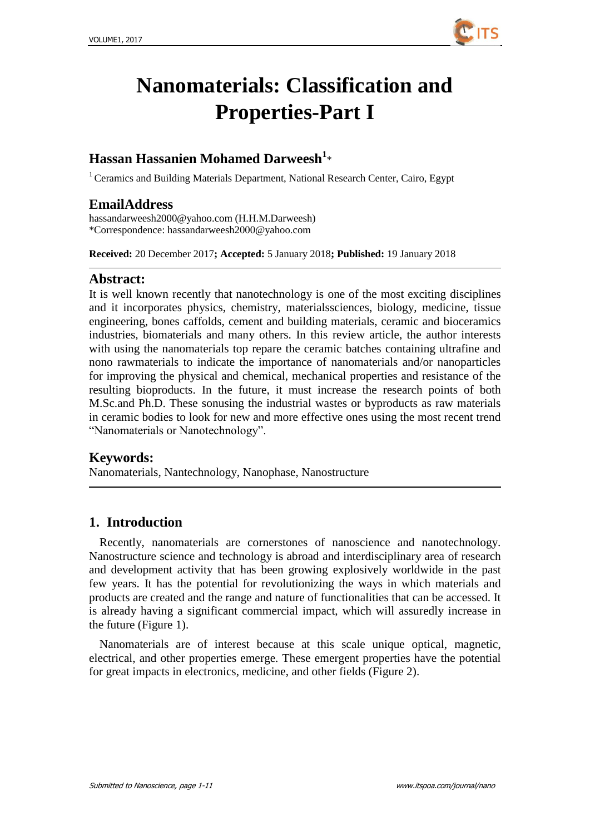

# **Nanomaterials: Classification and Properties-Part I**

# **Hassan Hassanien Mohamed Darweesh<sup>1</sup>** \*

<sup>1</sup> Ceramics and Building Materials Department, National Research Center, Cairo, Egypt

### **EmailAddress**

[hassandarweesh2000@yahoo.com](mailto:hassandarweesh2000@yahoo.com) (H.H.M.Darweesh) \*Correspondence: hassandarweesh2000@yahoo.com

**Received:** 20 December 2017**; Accepted:** 5 January 2018**; Published:** 19 January 2018

#### **Abstract:**

It is well known recently that nanotechnology is one of the most exciting disciplines and it incorporates physics, chemistry, materialssciences, biology, medicine, tissue engineering, bones caffolds, cement and building materials, ceramic and bioceramics industries, biomaterials and many others. In this review article, the author interests with using the nanomaterials top repare the ceramic batches containing ultrafine and nono rawmaterials to indicate the importance of nanomaterials and/or nanoparticles for improving the physical and chemical, mechanical properties and resistance of the resulting bioproducts. In the future, it must increase the research points of both M.Sc.and Ph.D. These sonusing the industrial wastes or byproducts as raw materials in ceramic bodies to look for new and more effective ones using the most recent trend "Nanomaterials or Nanotechnology".

#### **Keywords:**

Nanomaterials, Nantechnology, Nanophase, Nanostructure

# **1. Introduction**

Recently, nanomaterials are cornerstones of nanoscience and nanotechnology. Nanostructure science and technology is abroad and interdisciplinary area of research and development activity that has been growing explosively worldwide in the past few years. It has the potential for revolutionizing the ways in which materials and products are created and the range and nature of functionalities that can be accessed. It is already having a significant commercial impact, which will assuredly increase in the future (Figure 1).

Nanomaterials are of interest because at this scale unique optical, magnetic, electrical, and other properties emerge. These emergent properties have the potential for great impacts in electronics, medicine, and other fields (Figure 2).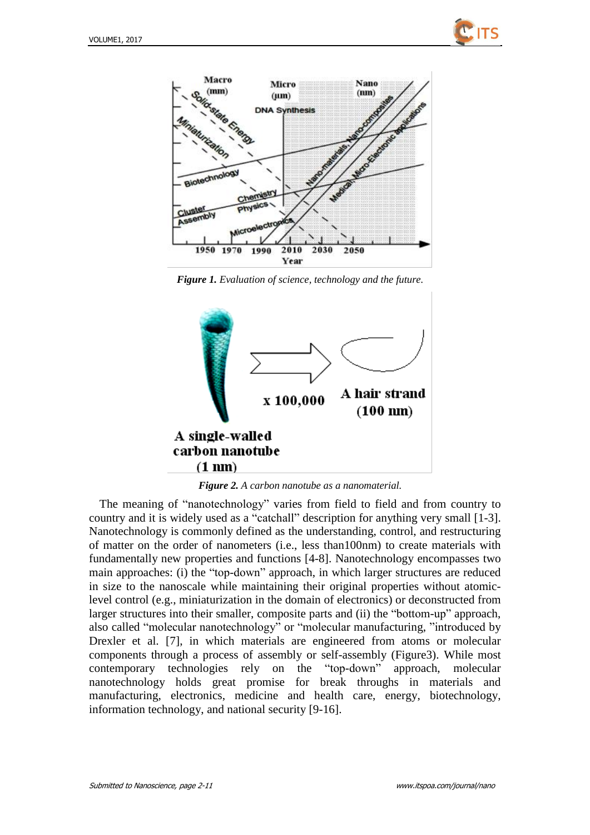



*Figure 1. Evaluation of science, technology and the future.*



*Figure 2. A carbon nanotube as a nanomaterial.*

The meaning of "nanotechnology" varies from field to field and from country to country and it is widely used as a "catchall" description for anything very small [1-3]. Nanotechnology is commonly defined as the understanding, control, and restructuring of matter on the order of nanometers (i.e., less than100nm) to create materials with fundamentally new properties and functions [4-8]. Nanotechnology encompasses two main approaches: (i) the "top-down" approach, in which larger structures are reduced in size to the nanoscale while maintaining their original properties without atomiclevel control (e.g., miniaturization in the domain of electronics) or deconstructed from larger structures into their smaller, composite parts and (ii) the "bottom-up" approach, also called "molecular nanotechnology" or "molecular manufacturing, "introduced by Drexler et al. [7], in which materials are engineered from atoms or molecular components through a process of assembly or self-assembly (Figure3). While most contemporary technologies rely on the "top-down" approach, molecular nanotechnology holds great promise for break throughs in materials and manufacturing, electronics, medicine and health care, energy, biotechnology, information technology, and national security [9-16].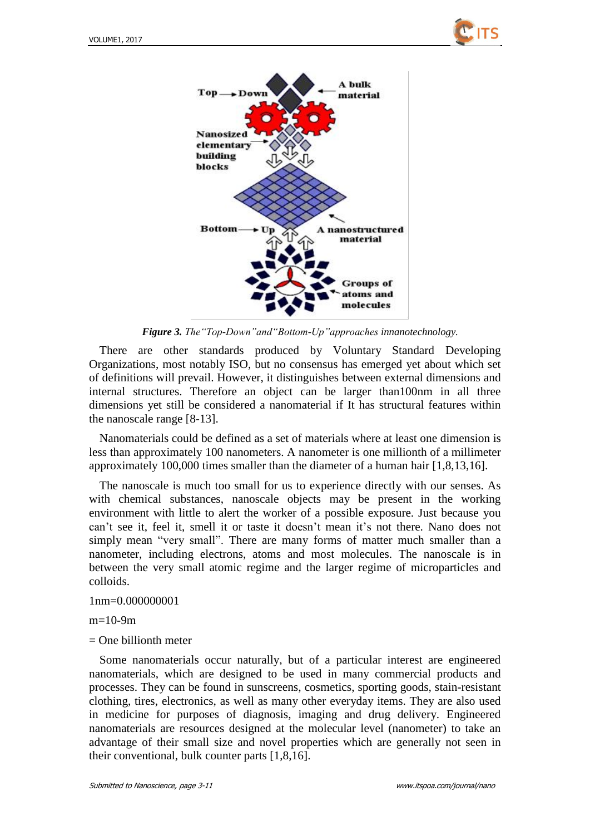



*Figure 3. The"Top-Down"and"Bottom-Up"approaches innanotechnology.*

There are other standards produced by Voluntary Standard Developing Organizations, most notably ISO, but no consensus has emerged yet about which set of definitions will prevail. However, it distinguishes between external dimensions and internal structures. Therefore an object can be larger than100nm in all three dimensions yet still be considered a nanomaterial if It has structural features within the nanoscale range [8-13].

Nanomaterials could be defined as a set of materials where at least one dimension is less than approximately 100 nanometers. A nanometer is one millionth of a millimeter approximately 100,000 times smaller than the diameter of a human hair [1,8,13,16].

The nanoscale is much too small for us to experience directly with our senses. As with chemical substances, nanoscale objects may be present in the working environment with little to alert the worker of a possible exposure. Just because you can't see it, feel it, smell it or taste it doesn't mean it's not there. Nano does not simply mean "very small". There are many forms of matter much smaller than a nanometer, including electrons, atoms and most molecules. The nanoscale is in between the very small atomic regime and the larger regime of microparticles and colloids.

#### 1nm=0.000000001

 $m=10-9m$ 

 $=$  One billionth meter

Some nanomaterials occur naturally, but of a particular interest are engineered nanomaterials, which are designed to be used in many commercial products and processes. They can be found in sunscreens, cosmetics, sporting goods, stain-resistant clothing, tires, electronics, as well as many other everyday items. They are also used in medicine for purposes of diagnosis, imaging and drug delivery. Engineered nanomaterials are resources designed at the molecular level (nanometer) to take an advantage of their small size and novel properties which are generally not seen in their conventional, bulk counter parts [1,8,16].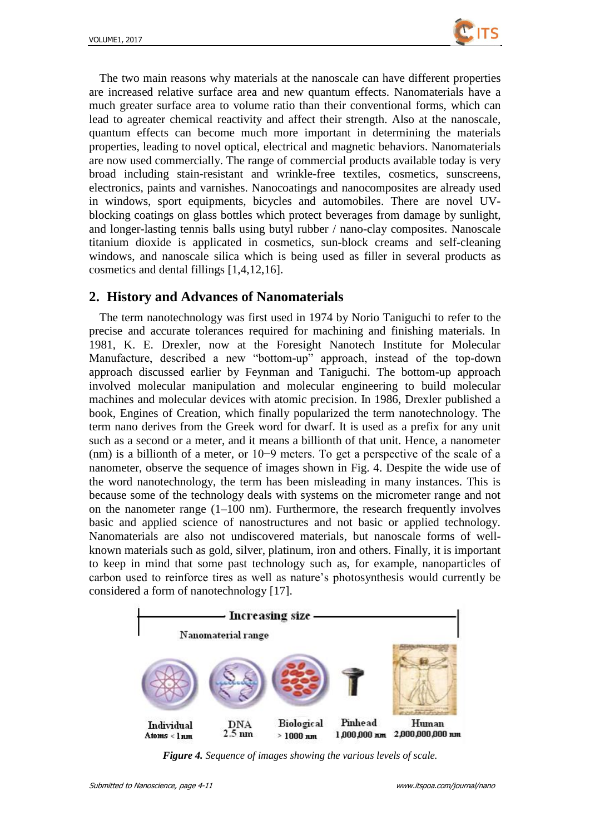

The two main reasons why materials at the nanoscale can have different properties are increased relative surface area and new quantum effects. Nanomaterials have a much greater surface area to volume ratio than their conventional forms, which can lead to agreater chemical reactivity and affect their strength. Also at the nanoscale, quantum effects can become much more important in determining the materials properties, leading to novel optical, electrical and magnetic behaviors. Nanomaterials are now used commercially. The range of commercial products available today is very broad including stain-resistant and wrinkle-free textiles, cosmetics, sunscreens, electronics, paints and varnishes. Nanocoatings and nanocomposites are already used in windows, sport equipments, bicycles and automobiles. There are novel UVblocking coatings on glass bottles which protect beverages from damage by sunlight, and longer-lasting tennis balls using butyl rubber / nano-clay composites. Nanoscale titanium dioxide is applicated in cosmetics, sun-block creams and self-cleaning windows, and nanoscale silica which is being used as filler in several products as cosmetics and dental fillings [1,4,12,16].

# **2. History and Advances of Nanomaterials**

The term nanotechnology was first used in 1974 by Norio Taniguchi to refer to the precise and accurate tolerances required for machining and finishing materials. In 1981, K. E. Drexler, now at the Foresight Nanotech Institute for Molecular Manufacture, described a new "bottom-up" approach, instead of the top-down approach discussed earlier by Feynman and Taniguchi. The bottom-up approach involved molecular manipulation and molecular engineering to build molecular machines and molecular devices with atomic precision. In 1986, Drexler published a book, Engines of Creation, which finally popularized the term nanotechnology. The term nano derives from the Greek word for dwarf. It is used as a prefix for any unit such as a second or a meter, and it means a billionth of that unit. Hence, a nanometer (nm) is a billionth of a meter, or 10−9 meters. To get a perspective of the scale of a nanometer, observe the sequence of images shown in Fig. 4. Despite the wide use of the word nanotechnology, the term has been misleading in many instances. This is because some of the technology deals with systems on the micrometer range and not on the nanometer range  $(1-100 \text{ nm})$ . Furthermore, the research frequently involves basic and applied science of nanostructures and not basic or applied technology. Nanomaterials are also not undiscovered materials, but nanoscale forms of wellknown materials such as gold, silver, platinum, iron and others. Finally, it is important to keep in mind that some past technology such as, for example, nanoparticles of carbon used to reinforce tires as well as nature's photosynthesis would currently be considered a form of nanotechnology [17].



*Figure 4. Sequence of images showing the various levels of scale.*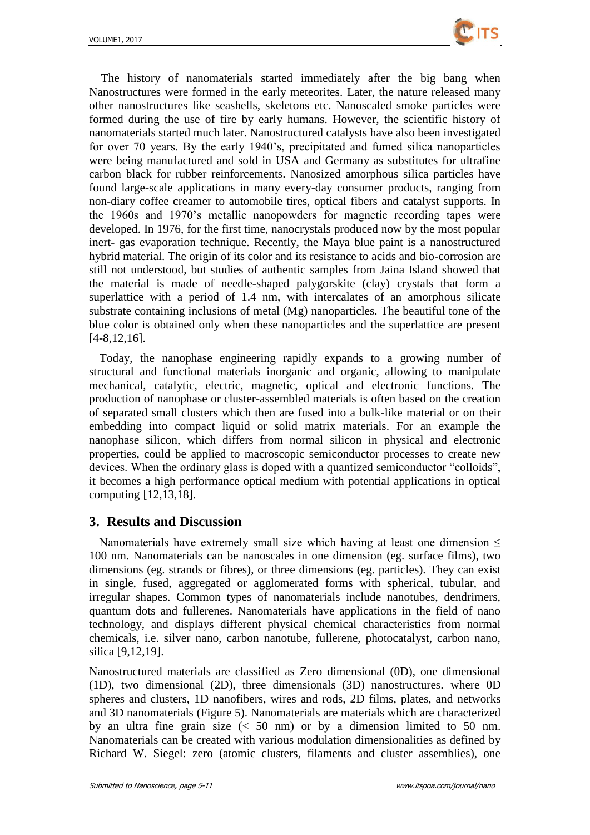

The history of nanomaterials started immediately after the big bang when Nanostructures were formed in the early meteorites. Later, the nature released many other nanostructures like seashells, skeletons etc. Nanoscaled smoke particles were formed during the use of fire by early humans. However, the scientific history of nanomaterials started much later. Nanostructured catalysts have also been investigated for over 70 years. By the early 1940's, precipitated and fumed silica nanoparticles were being manufactured and sold in USA and Germany as substitutes for ultrafine carbon black for rubber reinforcements. Nanosized amorphous silica particles have found large-scale applications in many every-day consumer products, ranging from non-diary coffee creamer to automobile tires, optical fibers and catalyst supports. In the 1960s and 1970's metallic nanopowders for magnetic recording tapes were developed. In 1976, for the first time, nanocrystals produced now by the most popular inert- gas evaporation technique. Recently, the Maya blue paint is a nanostructured hybrid material. The origin of its color and its resistance to acids and bio-corrosion are still not understood, but studies of authentic samples from Jaina Island showed that the material is made of needle-shaped palygorskite (clay) crystals that form a superlattice with a period of 1.4 nm, with intercalates of an amorphous silicate substrate containing inclusions of metal (Mg) nanoparticles. The beautiful tone of the blue color is obtained only when these nanoparticles and the superlattice are present [4-8,12,16].

Today, the nanophase engineering rapidly expands to a growing number of structural and functional materials inorganic and organic, allowing to manipulate mechanical, catalytic, electric, magnetic, optical and electronic functions. The production of nanophase or cluster-assembled materials is often based on the creation of separated small clusters which then are fused into a bulk-like material or on their embedding into compact liquid or solid matrix materials. For an example the nanophase silicon, which differs from normal silicon in physical and electronic properties, could be applied to macroscopic semiconductor processes to create new devices. When the ordinary glass is doped with a quantized semiconductor "colloids", it becomes a high performance optical medium with potential applications in optical computing [12,13,18].

#### **3. Results and Discussion**

Nanomaterials have extremely small size which having at least one dimension  $\leq$ 100 nm. Nanomaterials can be nanoscales in one dimension (eg. surface films), two dimensions (eg. strands or fibres), or three dimensions (eg. particles). They can exist in single, fused, aggregated or agglomerated forms with spherical, tubular, and irregular shapes. Common types of nanomaterials include nanotubes, dendrimers, quantum dots and fullerenes. Nanomaterials have applications in the field of nano technology, and displays different physical chemical characteristics from normal chemicals, i.e. silver nano, carbon nanotube, fullerene, photocatalyst, carbon nano, silica [9,12,19].

Nanostructured materials are classified as Zero dimensional (0D), one dimensional (1D), two dimensional (2D), three dimensionals (3D) nanostructures. where 0D spheres and clusters, 1D nanofibers, wires and rods, 2D films, plates, and networks and 3D nanomaterials (Figure 5). Nanomaterials are materials which are characterized by an ultra fine grain size  $\left($  < 50 nm) or by a dimension limited to 50 nm. Nanomaterials can be created with various modulation dimensionalities as defined by Richard W. Siegel: zero (atomic clusters, filaments and cluster assemblies), one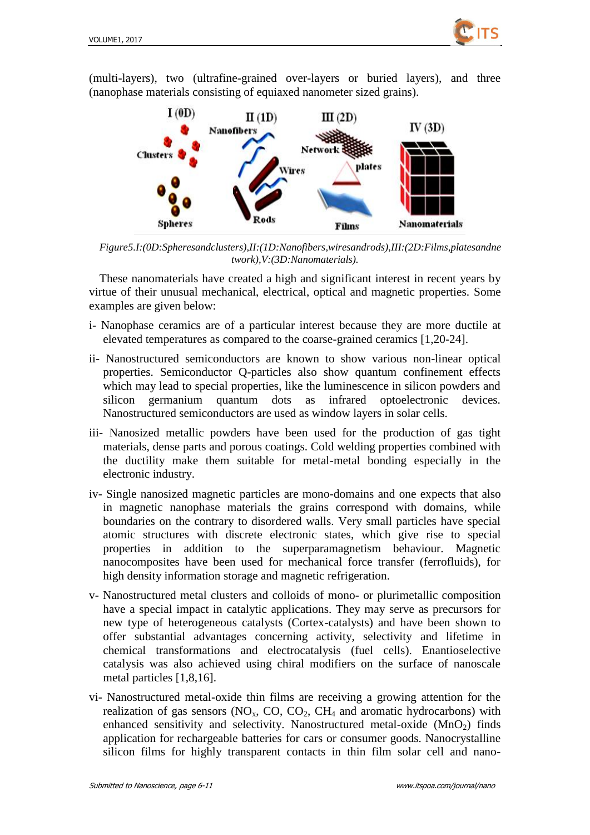

(multi-layers), two (ultrafine-grained over-layers or buried layers), and three (nanophase materials consisting of equiaxed nanometer sized grains).



*Figure5.I:(0D:Spheresandclusters),II:(1D:Nanofibers,wiresandrods),III:(2D:Films,platesandne twork),V:(3D:Nanomaterials).*

These nanomaterials have created a high and significant interest in recent years by virtue of their unusual mechanical, electrical, optical and magnetic properties. Some examples are given below:

- i- Nanophase ceramics are of a particular interest because they are more ductile at elevated temperatures as compared to the coarse-grained ceramics [1,20-24].
- ii- Nanostructured semiconductors are known to show various non-linear optical properties. Semiconductor Q-particles also show quantum confinement effects which may lead to special properties, like the luminescence in silicon powders and silicon germanium quantum dots as infrared optoelectronic devices. Nanostructured semiconductors are used as window layers in solar cells.
- iii- Nanosized metallic powders have been used for the production of gas tight materials, dense parts and porous coatings. Cold welding properties combined with the ductility make them suitable for metal-metal bonding especially in the electronic industry.
- iv- Single nanosized magnetic particles are mono-domains and one expects that also in magnetic nanophase materials the grains correspond with domains, while boundaries on the contrary to disordered walls. Very small particles have special atomic structures with discrete electronic states, which give rise to special properties in addition to the superparamagnetism behaviour. Magnetic nanocomposites have been used for mechanical force transfer (ferrofluids), for high density information storage and magnetic refrigeration.
- v- Nanostructured metal clusters and colloids of mono- or plurimetallic composition have a special impact in catalytic applications. They may serve as precursors for new type of heterogeneous catalysts (Cortex-catalysts) and have been shown to offer substantial advantages concerning activity, selectivity and lifetime in chemical transformations and electrocatalysis (fuel cells). Enantioselective catalysis was also achieved using chiral modifiers on the surface of nanoscale metal particles [1,8,16].
- vi- Nanostructured metal-oxide thin films are receiving a growing attention for the realization of gas sensors ( $NO<sub>x</sub>$ ,  $CO<sub>z</sub>$ ,  $CO<sub>z</sub>$ ,  $CH<sub>4</sub>$  and aromatic hydrocarbons) with enhanced sensitivity and selectivity. Nanostructured metal-oxide  $(MnO<sub>2</sub>)$  finds application for rechargeable batteries for cars or consumer goods. Nanocrystalline silicon films for highly transparent contacts in thin film solar cell and nano-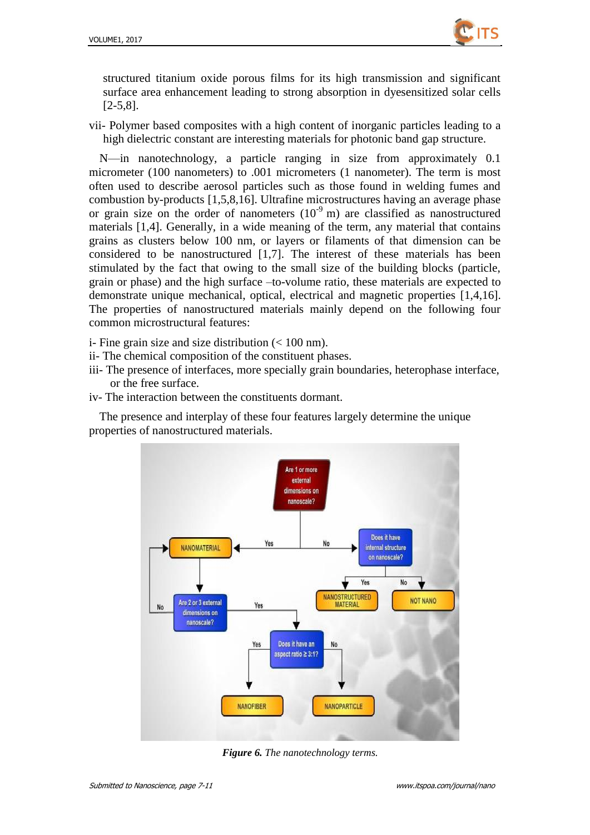

structured titanium oxide porous films for its high transmission and significant surface area enhancement leading to strong absorption in dyesensitized solar cells [2-5,8].

vii- Polymer based composites with a high content of inorganic particles leading to a high dielectric constant are interesting materials for photonic band gap structure.

N—in nanotechnology, a particle ranging in size from approximately 0.1 micrometer (100 nanometers) to .001 micrometers (1 nanometer). The term is most often used to describe aerosol particles such as those found in welding fumes and combustion by-products [1,5,8,16]. Ultrafine microstructures having an average phase or grain size on the order of nanometers  $(10^{-9} \text{ m})$  are classified as nanostructured materials [1,4]. Generally, in a wide meaning of the term, any material that contains grains as clusters below 100 nm, or layers or filaments of that dimension can be considered to be nanostructured [1,7]. The interest of these materials has been stimulated by the fact that owing to the small size of the building blocks (particle, grain or phase) and the high surface –to-volume ratio, these materials are expected to demonstrate unique mechanical, optical, electrical and magnetic properties [1,4,16]. The properties of nanostructured materials mainly depend on the following four common microstructural features:

- i- Fine grain size and size distribution (< 100 nm).
- ii- The chemical composition of the constituent phases.
- iii- The presence of interfaces, more specially grain boundaries, heterophase interface, or the free surface.
- iv- The interaction between the constituents dormant.

The presence and interplay of these four features largely determine the unique properties of nanostructured materials.



*Figure 6. The nanotechnology terms.*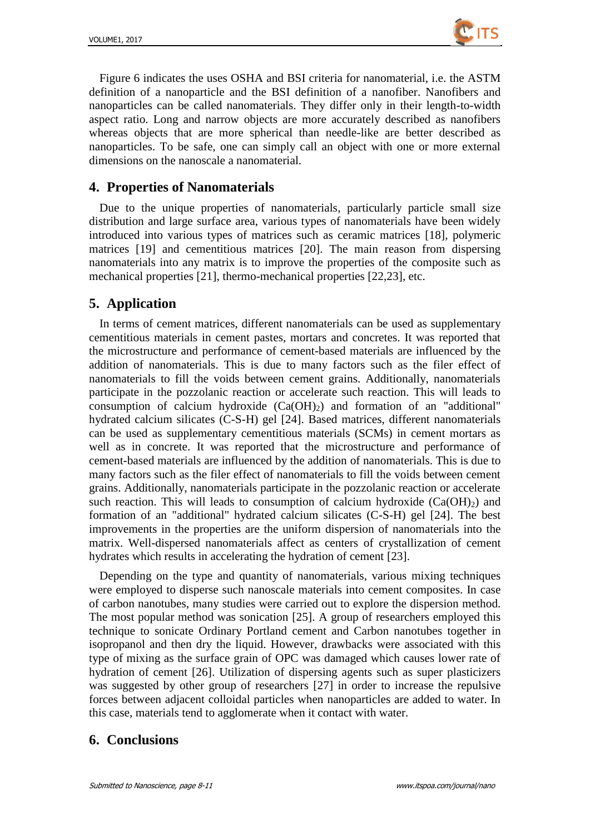

Figure 6 indicates the uses OSHA and BSI criteria for nanomaterial, i.e. the ASTM definition of a nanoparticle and the BSI definition of a nanofiber. Nanofibers and nanoparticles can be called nanomaterials. They differ only in their length-to-width aspect ratio. Long and narrow objects are more accurately described as nanofibers whereas objects that are more spherical than needle-like are better described as nanoparticles. To be safe, one can simply call an object with one or more external dimensions on the nanoscale a nanomaterial.

## **4. Properties of Nanomaterials**

Due to the unique properties of nanomaterials, particularly particle small size distribution and large surface area, various types of nanomaterials have been widely introduced into various types of matrices such as ceramic matrices [18], polymeric matrices [19] and cementitious matrices [20]. The main reason from dispersing nanomaterials into any matrix is to improve the properties of the composite such as mechanical properties [21], thermo-mechanical properties [22,23], etc.

# **5. Application**

In terms of cement matrices, different nanomaterials can be used as supplementary cementitious materials in cement pastes, mortars and concretes. It was reported that the microstructure and performance of cement-based materials are influenced by the addition of nanomaterials. This is due to many factors such as the filer effect of nanomaterials to fill the voids between cement grains. Additionally, nanomaterials participate in the pozzolanic reaction or accelerate such reaction. This will leads to consumption of calcium hydroxide  $(Ca(OH)_2)$  and formation of an "additional" hydrated calcium silicates (C-S-H) gel [24]. Based matrices, different nanomaterials can be used as supplementary cementitious materials (SCMs) in cement mortars as well as in concrete. It was reported that the microstructure and performance of cement-based materials are influenced by the addition of nanomaterials. This is due to many factors such as the filer effect of nanomaterials to fill the voids between cement grains. Additionally, nanomaterials participate in the pozzolanic reaction or accelerate such reaction. This will leads to consumption of calcium hydroxide  $(Ca(OH)<sub>2</sub>)$  and formation of an "additional" hydrated calcium silicates (C-S-H) gel [24]. The best improvements in the properties are the uniform dispersion of nanomaterials into the matrix. Well-dispersed nanomaterials affect as centers of crystallization of cement hydrates which results in accelerating the hydration of cement [23].

Depending on the type and quantity of nanomaterials, various mixing techniques were employed to disperse such nanoscale materials into cement composites. In case of carbon nanotubes, many studies were carried out to explore the dispersion method. The most popular method was sonication [25]. A group of researchers employed this technique to sonicate Ordinary Portland cement and Carbon nanotubes together in isopropanol and then dry the liquid. However, drawbacks were associated with this type of mixing as the surface grain of OPC was damaged which causes lower rate of hydration of cement [26]. Utilization of dispersing agents such as super plasticizers was suggested by other group of researchers [27] in order to increase the repulsive forces between adjacent colloidal particles when nanoparticles are added to water. In this case, materials tend to agglomerate when it contact with water.

# **6. Conclusions**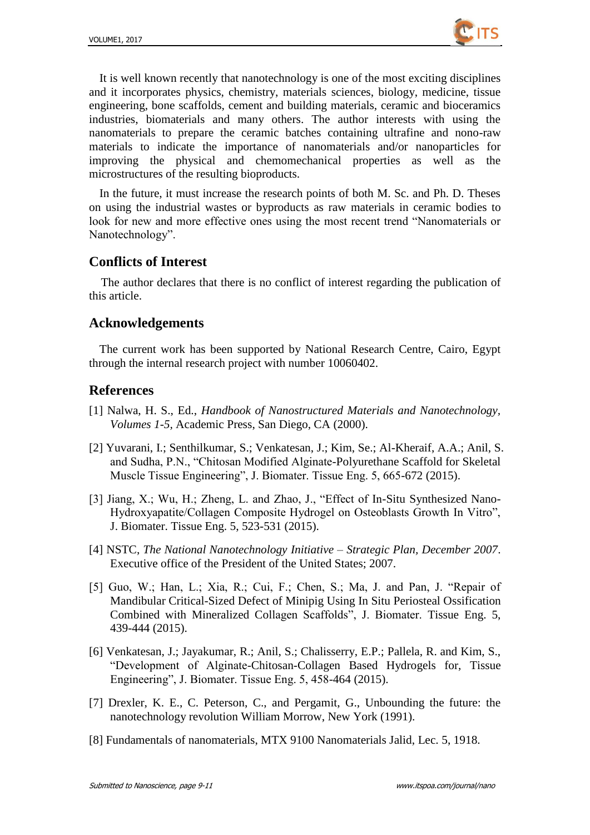

It is well known recently that nanotechnology is one of the most exciting disciplines and it incorporates physics, chemistry, materials sciences, biology, medicine, tissue engineering, bone scaffolds, cement and building materials, ceramic and bioceramics industries, biomaterials and many others. The author interests with using the nanomaterials to prepare the ceramic batches containing ultrafine and nono-raw materials to indicate the importance of nanomaterials and/or nanoparticles for improving the physical and chemomechanical properties as well as the microstructures of the resulting bioproducts.

In the future, it must increase the research points of both M. Sc. and Ph. D. Theses on using the industrial wastes or byproducts as raw materials in ceramic bodies to look for new and more effective ones using the most recent trend "Nanomaterials or Nanotechnology".

#### **Conflicts of Interest**

The author declares that there is no conflict of interest regarding the publication of this article.

#### **Acknowledgements**

The current work has been supported by National Research Centre, Cairo, Egypt through the internal research project with number 10060402.

#### **References**

- [1] Nalwa, H. S., Ed., *Handbook of Nanostructured Materials and Nanotechnology, Volumes 1-5,* Academic Press, San Diego, CA (2000).
- [2] Yuvarani, I.; Senthilkumar, S.; Venkatesan, J.; Kim, Se.; Al-Kheraif, A.A.; Anil, S. and Sudha, P.N., "Chitosan Modified Alginate-Polyurethane Scaffold for Skeletal Muscle Tissue Engineering", J. Biomater. Tissue Eng. 5, 665-672 (2015).
- [3] Jiang, X.; Wu, H.; Zheng, L. and Zhao, J., "Effect of In-Situ Synthesized Nano-Hydroxyapatite/Collagen Composite Hydrogel on Osteoblasts Growth In Vitro", J. Biomater. Tissue Eng. 5, 523-531 (2015).
- [4] NSTC, *The National Nanotechnology Initiative – Strategic Plan, December 2007*. Executive office of the President of the United States; 2007.
- [5] Guo, W.; Han, L.; Xia, R.; Cui, F.; Chen, S.; Ma, J. and Pan, J. "Repair of Mandibular Critical-Sized Defect of Minipig Using In Situ Periosteal Ossification Combined with Mineralized Collagen Scaffolds", J. Biomater. Tissue Eng. 5, 439-444 (2015).
- [6] Venkatesan, J.; Jayakumar, R.; Anil, S.; Chalisserry, E.P.; Pallela, R. and Kim, S., ―Development of Alginate-Chitosan-Collagen Based Hydrogels for, Tissue Engineering", J. Biomater. Tissue Eng. 5, 458-464 (2015).
- [7] Drexler, K. E., C. Peterson, C., and Pergamit, G., Unbounding the future: the nanotechnology revolution William Morrow, New York (1991).
- [8] Fundamentals of nanomaterials, MTX 9100 Nanomaterials Jalid, Lec. 5, 1918.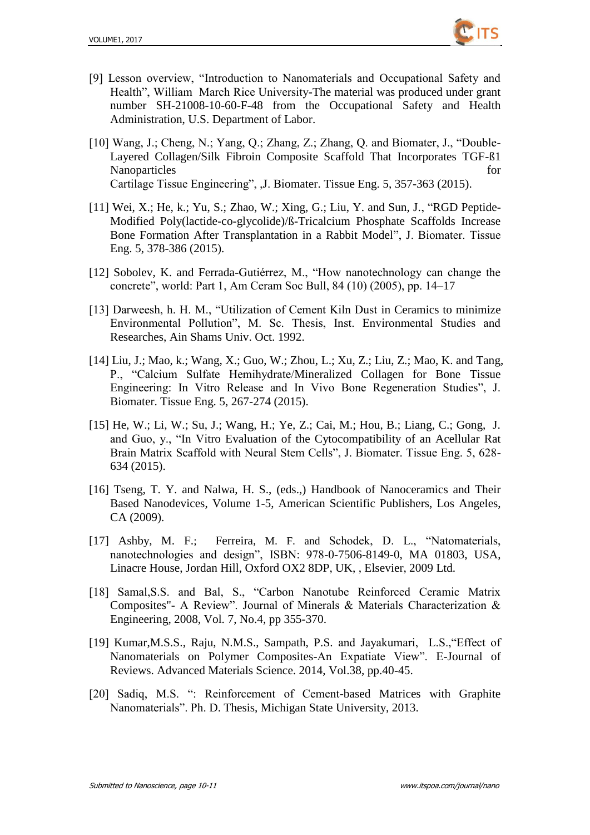

- [9] Lesson overview, "Introduction to Nanomaterials and Occupational Safety and Health", William March Rice University-The material was produced under grant number SH-21008-10-60-F-48 from the Occupational Safety and Health Administration, U.S. Department of Labor.
- [10] Wang, J.; Cheng, N.; Yang, Q.; Zhang, Z.; Zhang, Q. and Biomater, J., "Double-Layered Collagen/Silk Fibroin Composite Scaffold That Incorporates TGF-ß1 Nanoparticles for the same state of  $\sim$  100 mm state of  $\sim$  100 mm state of  $\sim$  100 mm state of  $\sim$  100 mm state of  $\sim$  100 mm state of  $\sim$  100 mm state of  $\sim$  100 mm state of  $\sim$  100 mm state of  $\sim$  100 mm state Cartilage Tissue Engineering", , J. Biomater. Tissue Eng. 5, 357-363 (2015).
- [11] Wei, X.; He, k.; Yu, S.; Zhao, W.; Xing, G.; Liu, Y. and Sun, J., "RGD Peptide-Modified Poly(lactide-co-glycolide)/ß-Tricalcium Phosphate Scaffolds Increase Bone Formation After Transplantation in a Rabbit Model", J. Biomater. Tissue Eng. 5, 378-386 (2015).
- [12] Sobolev, K. and Ferrada-Gutiérrez, M., "How nanotechnology can change the concrete‖, world: Part 1, Am Ceram Soc Bull, 84 (10) (2005), pp. 14–17
- [13] Darweesh, h. H. M., "Utilization of Cement Kiln Dust in Ceramics to minimize Environmental Pollution", M. Sc. Thesis, Inst. Environmental Studies and Researches, Ain Shams Univ. Oct. 1992.
- [14] Liu, J.; Mao, k.; Wang, X.; Guo, W.; Zhou, L.; Xu, Z.; Liu, Z.; Mao, K. and Tang, P., "Calcium Sulfate Hemihydrate/Mineralized Collagen for Bone Tissue Engineering: In Vitro Release and In Vivo Bone Regeneration Studies", J. Biomater. Tissue Eng. 5, 267-274 (2015).
- [15] He, W.; Li, W.; Su, J.; Wang, H.; Ye, Z.; Cai, M.; Hou, B.; Liang, C.; Gong, J. and Guo, y., "In Vitro Evaluation of the Cytocompatibility of an Acellular Rat Brain Matrix Scaffold with Neural Stem Cells", J. Biomater. Tissue Eng. 5, 628-634 (2015).
- [16] Tseng, T. Y. and Nalwa, H. S., (eds.,) Handbook of Nanoceramics and Their Based Nanodevices, Volume 1-5, American Scientific Publishers, Los Angeles, CA (2009).
- [17] Ashby, M. F.; Ferreira, M. F. and Schodek, D. L., "Natomaterials, nanotechnologies and design", ISBN: 978-0-7506-8149-0, MA 01803, USA, Linacre House, Jordan Hill, Oxford OX2 8DP, UK, , Elsevier, 2009 Ltd.
- [18] Samal, S.S. and Bal, S., "Carbon Nanotube Reinforced Ceramic Matrix Composites"- A Review". Journal of Minerals & Materials Characterization & Engineering, 2008, Vol. 7, No.4, pp 355-370.
- [19] Kumar, M.S.S., Raju, N.M.S., Sampath, P.S. and Jayakumari, L.S., "Effect of Nanomaterials on Polymer Composites-An Expatiate View". E-Journal of Reviews. Advanced Materials Science. 2014, Vol.38, pp.40-45.
- [20] Sadiq, M.S. ": Reinforcement of Cement-based Matrices with Graphite Nanomaterials". Ph. D. Thesis, Michigan State University, 2013.